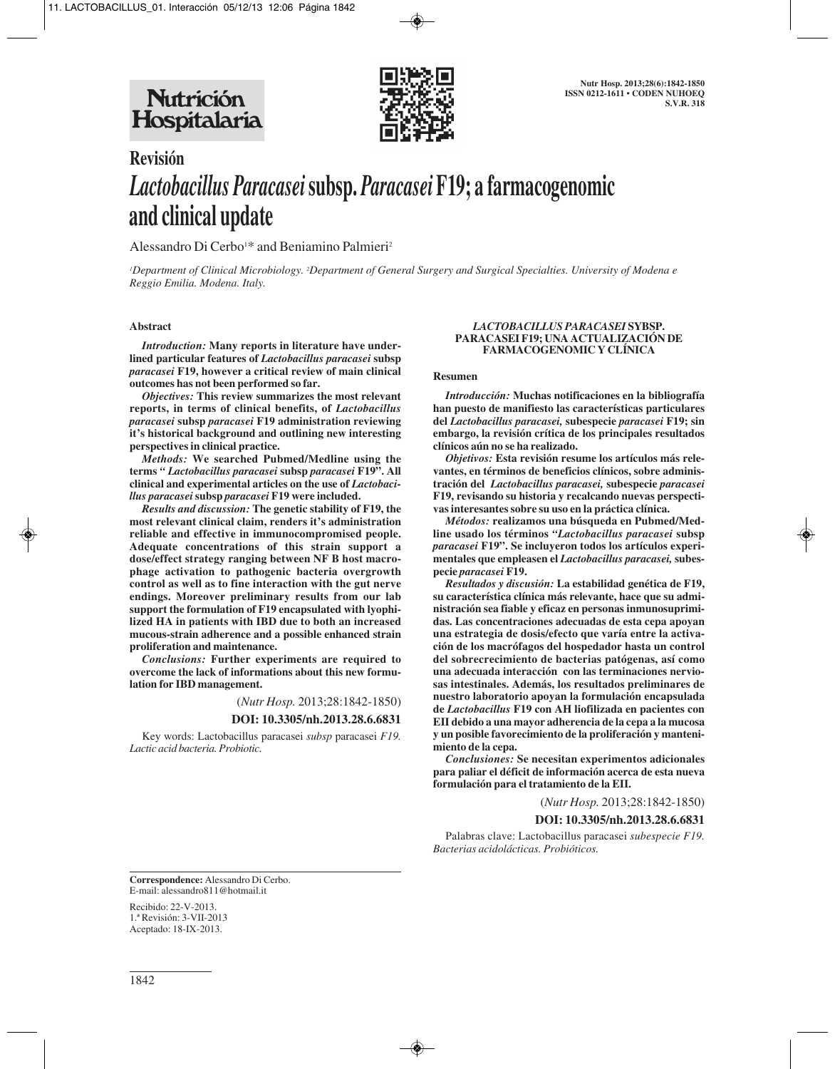

# **Revisión** *Lactobacillus Paracasei***subsp.** *Paracasei* **F19; a farmacogenomic and clinical update**

Alessandro Di Cerbo<sup>1\*</sup> and Beniamino Palmieri<sup>2</sup>

*1 Department of Clinical Microbiology. 2 Department of General Surgery and Surgical Specialties. University of Modena e Reggio Emilia. Modena. Italy.*

#### **Abstract**

*Introduction:* **Many reports in literature have underlined particular features of** *Lactobacillus paracasei* **subsp** *paracasei* **F19, however a critical review of main clinical outcomes has not been performed so far.** 

*Objectives:* **This review summarizes the most relevant reports, in terms of clinical benefits, of** *Lactobacillus paracasei* **subsp** *paracasei* **F19 administration reviewing it's historical background and outlining new interesting perspectives in clinical practice.**

*Methods:* **We searched Pubmed/Medline using the terms** *" Lactobacillus paracasei* **subsp** *paracasei* **F19". All clinical and experimental articles on the use of** *Lactobacillus paracasei***subsp** *paracasei* **F19 were included.** 

*Results and discussion:* **The genetic stability of F19, the most relevant clinical claim, renders it's administration reliable and effective in immunocompromised people. Adequate concentrations of this strain support a dose/effect strategy ranging between NF B host macro phage activation to pathogenic bacteria overgrowth control as well as to fine interaction with the gut nerve endings. Moreover preliminary results from our lab support the formulation of F19 encapsulated with lyophilized HA in patients with IBD due to both an increased mucous-strain adherence and a possible enhanced strain proliferation and maintenance.**

*Conclusions:* **Further experiments are required to overcome the lack of informations about this new formulation for IBD management.**

(*Nutr Hosp.* 2013;28:1842-1850)

#### **DOI: 10.3305/nh.2013.28.6.6831**

Key words: Lactobacillus paracasei *subsp* paracasei *F19. Lactic acid bacteria. Probiotic.*

#### *LACTOBACILLUS PARACASEI* **SYBSP. PARACASEI F19; UNA ACTUALIZACIÓN DE FARMACOGENOMIC Y CLÍNICA**

#### **Resumen**

*Introducción:* **Muchas notificaciones en la bibliografía han puesto de manifiesto las características particulares del** *Lactobacillus paracasei,* **subespecie** *paracasei* **F19; sin embargo, la revisión crítica de los principales resultados clínicos aún no se ha realizado.**

*Objetivos:* **Esta revisión resume los artículos más relevantes, en términos de beneficios clínicos, sobre administración del** *Lactobacillus paracasei,* **subespecie** *paracasei* **F19, revisando su historia y recalcando nuevas perspectivas interesantes sobre su uso en la práctica clínica.** 

*Métodos:* **realizamos una búsqueda en Pubmed/Medline usado los términos** *"Lactobacillus paracasei* **subsp** *paracasei* **F19". Se incluyeron todos los artículos experimentales que empleasen el** *Lactobacillus paracasei,* **subespecie** *paracasei* **F19.**

*Resultados y discusión:* **La estabilidad genética de F19, su característica clínica más relevante, hace que su administración sea fiable y eficaz en personas inmunosuprimidas. Las concentraciones adecuadas de esta cepa apoyan una estrategia de dosis/efecto que varía entre la activación de los macrófagos del hospedador hasta un control del sobrecrecimiento de bacterias patógenas, así como una adecuada interacción con las terminaciones nerviosas intestinales. Además, los resultados preliminares de nuestro laboratorio apoyan la formulación encapsulada de** *Lactobacillus* **F19 con AH liofilizada en pacientes con EII debido a una mayor adherencia de la cepa a la mucosa y un posible favorecimiento de la proliferación y mantenimiento de la cepa.**

*Conclusiones:* **Se necesitan experimentos adicionales para paliar el déficit de información acerca de esta nueva formulación para el tratamiento de la EII.**

(*Nutr Hosp.* 2013;28:1842-1850)

#### **DOI: 10.3305/nh.2013.28.6.6831**

Palabras clave: Lactobacillus paracasei *subespecie F19. Bacterias acidolácticas. Probióticos.*

**Correspondence:** Alessandro Di Cerbo. E-mail: alessandro811@hotmail.it

Recibido: 22-V-2013. 1.ª Revisión: 3-VII-2013 Aceptado: 18-IX-2013.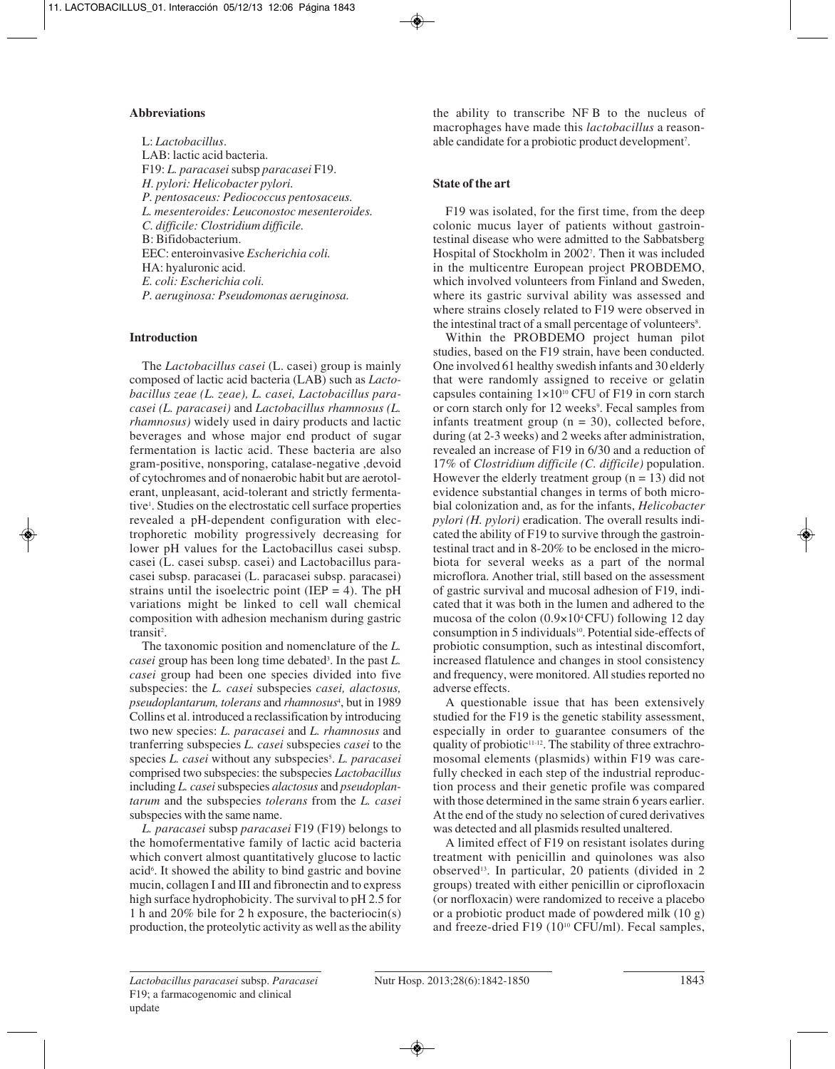# **Abbreviations**

L: *Lactobacillus*. LAB: lactic acid bacteria. F19: *L. paracasei*subsp *paracasei* F19. *H. pylori: Helicobacter pylori. P. pentosaceus: Pediococcus pentosaceus. L. mesenteroides: Leuconostoc mesenteroides. C. difficile: Clostridium difficile.* B: Bifidobacterium. EEC: enteroinvasive *Escherichia coli.* HA: hyaluronic acid. *E. coli: Escherichia coli. P. aeruginosa: Pseudomonas aeruginosa.* 

# **Introduction**

The *Lactobacillus casei* (L. casei) group is mainly composed of lactic acid bacteria (LAB) such as *Lactobacillus zeae (L. zeae), L. casei, Lactobacillus paracasei (L. paracasei)* and *Lactobacillus rhamnosus (L. rhamnosus)* widely used in dairy products and lactic beverages and whose major end product of sugar fermentation is lactic acid. These bacteria are also gram-positive, nonsporing, catalase-negative ,devoid of cytochromes and of nonaerobic habit but are aerotolerant, unpleasant, acid-tolerant and strictly fermentative1 . Studies on the electrostatic cell surface properties revealed a pH-dependent configuration with electrophoretic mobility progressively decreasing for lower pH values for the Lactobacillus casei subsp. casei (L. casei subsp. casei) and Lactobacillus paracasei subsp. paracasei (L. paracasei subsp. paracasei) strains until the isoelectric point (IEP = 4). The  $pH$ variations might be linked to cell wall chemical composition with adhesion mechanism during gastric transit<sup>2</sup>.

The taxonomic position and nomenclature of the *L. casei* group has been long time debated3 . In the past *L. casei* group had been one species divided into five subspecies: the *L. casei* subspecies *casei, alactosus, pseudoplantarum, tolerans* and *rhamnosus*<sup>4</sup> , but in 1989 Collins et al. introduced a reclassification by introducing two new species: *L. paracasei* and *L. rhamnosus* and tranferring subspecies *L. casei* subspecies *casei* to the species *L. casei* without any subspecies<sup>5</sup>. *L. paracasei* comprised two subspecies: the subspecies *Lactobacillus* including *L. casei* subspecies *alactosus* and *pseudoplantarum* and the subspecies *tolerans* from the *L. casei* subspecies with the same name.

*L. paracasei* subsp *paracasei* F19 (F19) belongs to the homofermentative family of lactic acid bacteria which convert almost quantitatively glucose to lactic acid<sup>6</sup>. It showed the ability to bind gastric and bovine mucin, collagen I and III and fibronectin and to express high surface hydrophobicity. The survival to pH 2.5 for 1 h and 20% bile for 2 h exposure, the bacteriocin(s) production, the proteolytic activity as well as the ability

the ability to transcribe NF B to the nucleus of macrophages have made this *lactobacillus* a reasonable candidate for a probiotic product development<sup>7</sup>.

# **State of the art**

F19 was isolated, for the first time, from the deep colonic mucus layer of patients without gastrointestinal disease who were admitted to the Sabbatsberg Hospital of Stockholm in 20027 . Then it was included in the multicentre European project PROBDEMO, which involved volunteers from Finland and Sweden, where its gastric survival ability was assessed and where strains closely related to F19 were observed in the intestinal tract of a small percentage of volunteers<sup>8</sup>.

Within the PROBDEMO project human pilot studies, based on the F19 strain, have been conducted. One involved 61 healthy swedish infants and 30 elderly that were randomly assigned to receive or gelatin capsules containing  $1 \times 10^{10}$  CFU of F19 in corn starch or corn starch only for 12 weeks<sup>9</sup>. Fecal samples from infants treatment group  $(n = 30)$ , collected before, during (at 2-3 weeks) and 2 weeks after administration, revealed an increase of F19 in 6/30 and a reduction of 17% of *Clostridium difficile (C. difficile)* population. However the elderly treatment group  $(n = 13)$  did not evidence substantial changes in terms of both microbial colonization and, as for the infants, *Helicobacter pylori (H. pylori)* eradication. The overall results indicated the ability of F19 to survive through the gastrointestinal tract and in 8-20% to be enclosed in the microbiota for several weeks as a part of the normal microflora. Another trial, still based on the assessment of gastric survival and mucosal adhesion of F19, indicated that it was both in the lumen and adhered to the mucosa of the colon (0.9×104 CFU) following 12 day consumption in 5 individuals<sup>10</sup>. Potential side-effects of probiotic consumption, such as intestinal discomfort, increased flatulence and changes in stool consistency and frequency, were monitored. All studies reported no adverse effects.

A questionable issue that has been extensively studied for the F19 is the genetic stability assessment, especially in order to guarantee consumers of the quality of probiotic<sup>11-12</sup>. The stability of three extrachromosomal elements (plasmids) within F19 was carefully checked in each step of the industrial reproduction process and their genetic profile was compared with those determined in the same strain 6 years earlier. At the end of the study no selection of cured derivatives was detected and all plasmids resulted unaltered.

A limited effect of F19 on resistant isolates during treatment with penicillin and quinolones was also observed<sup>13</sup>. In particular, 20 patients (divided in 2) groups) treated with either penicillin or ciprofloxacin (or norfloxacin) were randomized to receive a placebo or a probiotic product made of powdered milk (10 g) and freeze-dried F19 (10<sup>10</sup> CFU/ml). Fecal samples,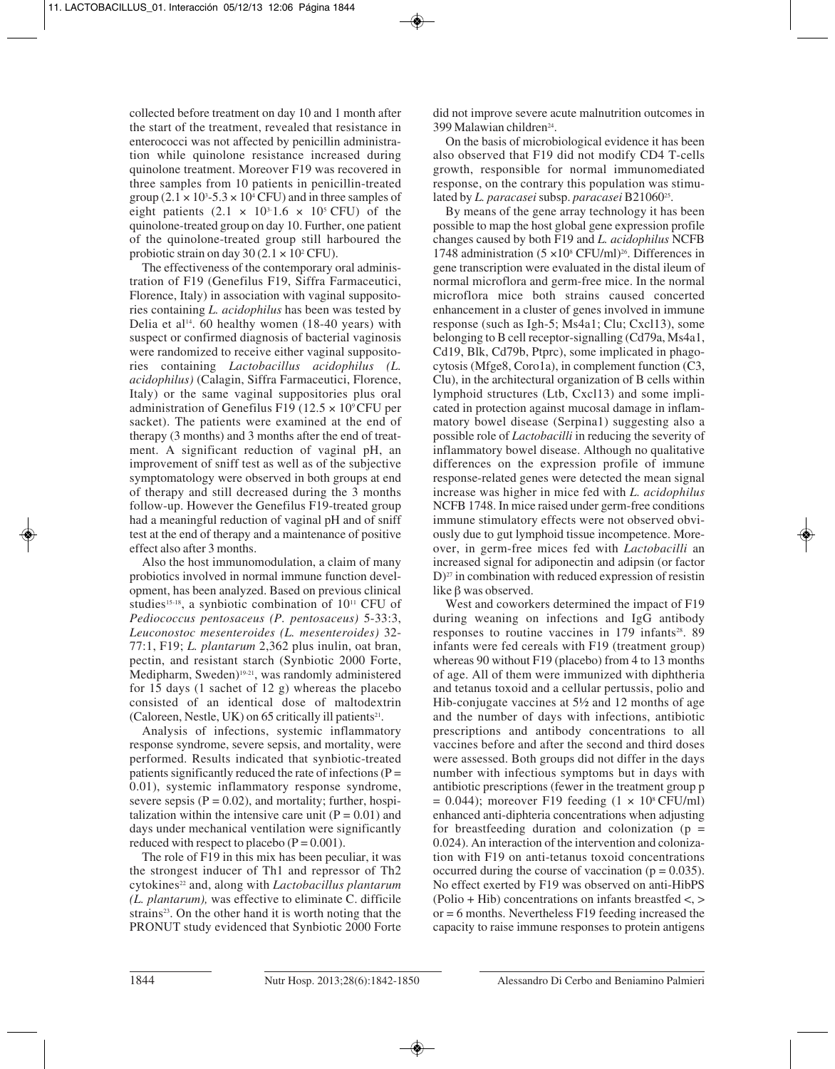collected before treatment on day 10 and 1 month after the start of the treatment, revealed that resistance in enterococci was not affected by penicillin administration while quinolone resistance increased during quinolone treatment. Moreover F19 was recovered in three samples from 10 patients in penicillin-treated group  $(2.1 \times 10^3 - 5.3 \times 10^4 \text{ CFU})$  and in three samples of eight patients  $(2.1 \times 10^{3.1.6} \times 10^{5} \text{ CFU})$  of the quinolone-treated group on day 10. Further, one patient of the quinolone-treated group still harboured the probiotic strain on day 30 (2.1  $\times$  10<sup>2</sup> CFU).

The effectiveness of the contemporary oral administration of F19 (Genefilus F19, Siffra Farmaceutici, Florence, Italy) in association with vaginal suppositories containing *L. acidophilus* has been was tested by Delia et al<sup>14</sup>. 60 healthy women (18-40 years) with suspect or confirmed diagnosis of bacterial vaginosis were randomized to receive either vaginal suppositories containing *Lactobacillus acidophilus (L. acidophilus)* (Calagin, Siffra Farmaceutici, Florence, Italy) or the same vaginal suppositories plus oral administration of Genefilus F19 (12.5  $\times$  10°CFU per sacket). The patients were examined at the end of therapy (3 months) and 3 months after the end of treatment. A significant reduction of vaginal pH, an improvement of sniff test as well as of the subjective symptomatology were observed in both groups at end of therapy and still decreased during the 3 months follow-up. However the Genefilus F19-treated group had a meaningful reduction of vaginal pH and of sniff test at the end of therapy and a maintenance of positive effect also after 3 months.

Also the host immunomodulation, a claim of many probiotics involved in normal immune function development, has been analyzed. Based on previous clinical studies<sup>15-18</sup>, a synbiotic combination of  $10^{11}$  CFU of *Pediococcus pentosaceus (P. pentosaceus)* 5-33:3, *Leuconostoc mesenteroides (L. mesenteroides)* 32- 77:1, F19; *L. plantarum* 2,362 plus inulin, oat bran, pectin, and resistant starch (Synbiotic 2000 Forte, Medipharm, Sweden)19-21, was randomly administered for 15 days (1 sachet of 12 g) whereas the placebo consisted of an identical dose of maltodextrin (Caloreen, Nestle, UK) on  $65$  critically ill patients<sup>21</sup>.

Analysis of infections, systemic inflammatory response syndrome, severe sepsis, and mortality, were performed. Results indicated that synbiotic-treated patients significantly reduced the rate of infections  $(P =$ 0.01), systemic inflammatory response syndrome, severe sepsis ( $P = 0.02$ ), and mortality; further, hospitalization within the intensive care unit  $(P = 0.01)$  and days under mechanical ventilation were significantly reduced with respect to placebo  $(P = 0.001)$ .

The role of F19 in this mix has been peculiar, it was the strongest inducer of Th1 and repressor of Th2 cytokines<sup>22</sup> and, along with *Lactobacillus plantarum (L. plantarum),* was effective to eliminate C. difficile strains<sup>23</sup>. On the other hand it is worth noting that the PRONUT study evidenced that Synbiotic 2000 Forte did not improve severe acute malnutrition outcomes in 399 Malawian children<sup>24</sup>.

On the basis of microbiological evidence it has been also observed that F19 did not modify CD4 T-cells growth, responsible for normal immunomediated response, on the contrary this population was stimulated by *L. paracasei* subsp. *paracasei* B21060<sup>25</sup>.

By means of the gene array technology it has been possible to map the host global gene expression profile changes caused by both F19 and *L. acidophilus* NCFB 1748 administration  $(5 \times 10^8 \text{ CFU/ml})^{26}$ . Differences in gene transcription were evaluated in the distal ileum of normal microflora and germ-free mice. In the normal microflora mice both strains caused concerted enhancement in a cluster of genes involved in immune response (such as Igh-5; Ms4a1; Clu; Cxcl13), some belonging to B cell receptor-signalling (Cd79a, Ms4a1, Cd19, Blk, Cd79b, Ptprc), some implicated in phagocytosis (Mfge8, Coro1a), in complement function (C3, Clu), in the architectural organization of B cells within lymphoid structures (Ltb, Cxcl13) and some implicated in protection against mucosal damage in inflammatory bowel disease (Serpina1) suggesting also a possible role of *Lactobacilli* in reducing the severity of inflammatory bowel disease. Although no qualitative differences on the expression profile of immune response-related genes were detected the mean signal increase was higher in mice fed with *L. acidophilus* NCFB 1748. In mice raised under germ-free conditions immune stimulatory effects were not observed obviously due to gut lymphoid tissue incompetence. Moreover, in germ-free mices fed with *Lactobacilli* an increased signal for adiponectin and adipsin (or factor  $D$ )<sup>27</sup> in combination with reduced expression of resistin like β was observed.

West and coworkers determined the impact of F19 during weaning on infections and IgG antibody responses to routine vaccines in 179 infants<sup>28</sup>. 89 infants were fed cereals with F19 (treatment group) whereas 90 without F19 (placebo) from 4 to 13 months of age. All of them were immunized with diphtheria and tetanus toxoid and a cellular pertussis, polio and Hib-conjugate vaccines at 5½ and 12 months of age and the number of days with infections, antibiotic prescriptions and antibody concentrations to all vaccines before and after the second and third doses were assessed. Both groups did not differ in the days number with infectious symptoms but in days with antibiotic prescriptions (fewer in the treatment group p  $= 0.044$ ); moreover F19 feeding (1  $\times$  10<sup>s</sup> CFU/ml) enhanced anti-diphteria concentrations when adjusting for breastfeeding duration and colonization  $(p =$ 0.024). An interaction of the intervention and colonization with F19 on anti-tetanus toxoid concentrations occurred during the course of vaccination ( $p = 0.035$ ). No effect exerted by F19 was observed on anti-HibPS (Polio + Hib) concentrations on infants breastfed <, > or = 6 months. Nevertheless F19 feeding increased the capacity to raise immune responses to protein antigens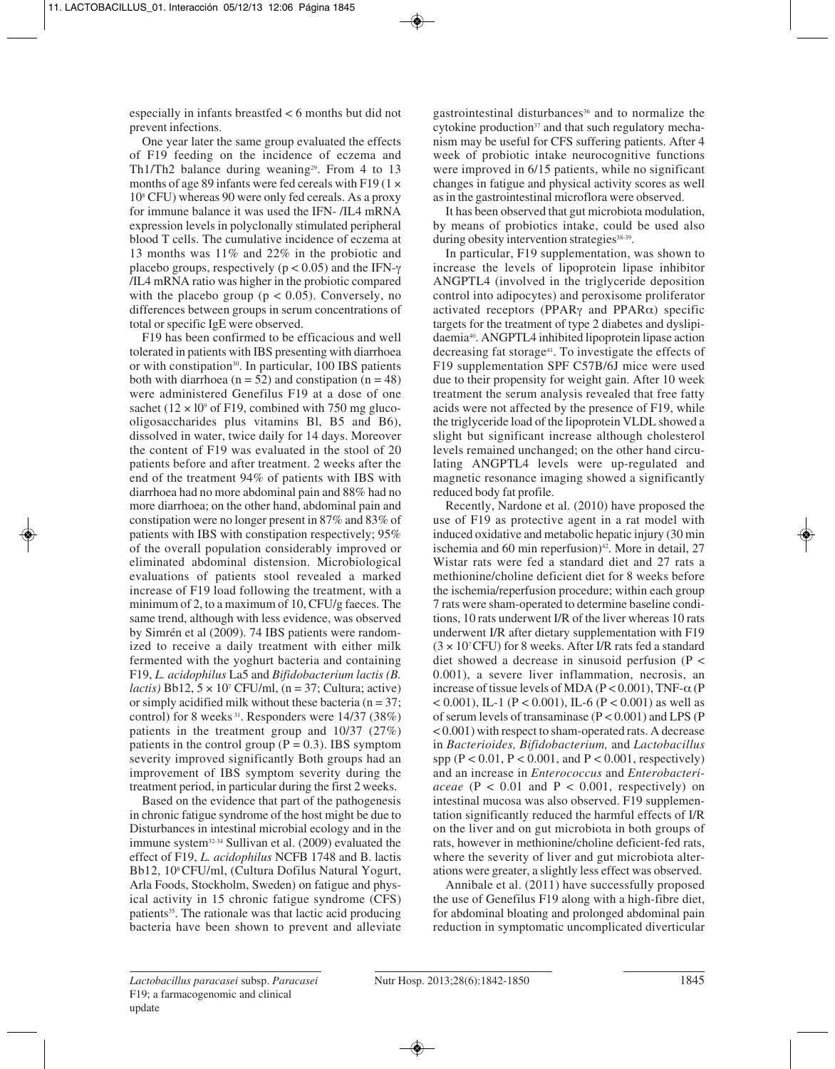especially in infants breastfed < 6 months but did not prevent infections.

One year later the same group evaluated the effects of F19 feeding on the incidence of eczema and Th1/Th2 balance during weaning<sup>29</sup>. From 4 to 13 months of age 89 infants were fed cereals with F19 (1  $\times$ 108 CFU) whereas 90 were only fed cereals. As a proxy for immune balance it was used the IFN- /IL4 mRNA expression levels in polyclonally stimulated peripheral blood T cells. The cumulative incidence of eczema at 13 months was 11% and 22% in the probiotic and placebo groups, respectively ( $p < 0.05$ ) and the IFN- $\gamma$ /IL4 mRNA ratio was higher in the probiotic compared with the placebo group ( $p < 0.05$ ). Conversely, no differences between groups in serum concentrations of total or specific IgE were observed.

F19 has been confirmed to be efficacious and well tolerated in patients with IBS presenting with diarrhoea or with constipation<sup>30</sup>. In particular, 100 IBS patients both with diarrhoea ( $n = 52$ ) and constipation ( $n = 48$ ) were administered Genefilus F19 at a dose of one sachet ( $12 \times 10^9$  of F19, combined with 750 mg glucooligosaccharides plus vitamins Bl, B5 and B6), dissolved in water, twice daily for 14 days. Moreover the content of F19 was evaluated in the stool of 20 patients before and after treatment. 2 weeks after the end of the treatment 94% of patients with IBS with diarrhoea had no more abdominal pain and 88% had no more diarrhoea; on the other hand, abdominal pain and constipation were no longer present in 87% and 83% of patients with IBS with constipation respectively; 95% of the overall population considerably improved or eliminated abdominal distension. Microbiological evaluations of patients stool revealed a marked increase of F19 load following the treatment, with a minimum of 2, to a maximum of 10, CFU/g faeces. The same trend, although with less evidence, was observed by Simrén et al (2009). 74 IBS patients were randomized to receive a daily treatment with either milk fermented with the yoghurt bacteria and containing F19, *L. acidophilus* La5 and *Bifidobacterium lactis (B. lactis*) Bb12,  $5 \times 10^7$  CFU/ml, (n = 37; Cultura; active) or simply acidified milk without these bacteria ( $n = 37$ ; control) for 8 weeks<sup>31</sup>. Responders were 14/37 (38%) patients in the treatment group and 10/37 (27%) patients in the control group  $(P = 0.3)$ . IBS symptom severity improved significantly Both groups had an improvement of IBS symptom severity during the treatment period, in particular during the first 2 weeks.

Based on the evidence that part of the pathogenesis in chronic fatigue syndrome of the host might be due to Disturbances in intestinal microbial ecology and in the immune system32-34 Sullivan et al. (2009) evaluated the effect of F19, *L. acidophilus* NCFB 1748 and B. lactis Bb12, 108 CFU/ml, (Cultura Dofilus Natural Yogurt, Arla Foods, Stockholm, Sweden) on fatigue and physical activity in 15 chronic fatigue syndrome (CFS) patients<sup>35</sup>. The rationale was that lactic acid producing bacteria have been shown to prevent and alleviate gastrointestinal disturbances<sup>36</sup> and to normalize the cytokine production $37$  and that such regulatory mechanism may be useful for CFS suffering patients. After 4 week of probiotic intake neurocognitive functions were improved in 6/15 patients, while no significant changes in fatigue and physical activity scores as well as in the gastrointestinal microflora were observed.

It has been observed that gut microbiota modulation, by means of probiotics intake, could be used also during obesity intervention strategies<sup>38-39</sup>.

In particular, F19 supplementation, was shown to increase the levels of lipoprotein lipase inhibitor ANGPTL4 (involved in the triglyceride deposition control into adipocytes) and peroxisome proliferator activated receptors (PPAR $\gamma$  and PPAR $\alpha$ ) specific targets for the treatment of type 2 diabetes and dyslipidaemia40. ANGPTL4 inhibited lipoprotein lipase action decreasing fat storage<sup>41</sup>. To investigate the effects of F19 supplementation SPF C57B/6J mice were used due to their propensity for weight gain. After 10 week treatment the serum analysis revealed that free fatty acids were not affected by the presence of F19, while the triglyceride load of the lipoprotein VLDL showed a slight but significant increase although cholesterol levels remained unchanged; on the other hand circulating ANGPTL4 levels were up-regulated and magnetic resonance imaging showed a significantly reduced body fat profile.

Recently, Nardone et al. (2010) have proposed the use of F19 as protective agent in a rat model with induced oxidative and metabolic hepatic injury (30 min ischemia and 60 min reperfusion) $42$ . More in detail, 27 Wistar rats were fed a standard diet and 27 rats a methionine/choline deficient diet for 8 weeks before the ischemia/reperfusion procedure; within each group 7 rats were sham-operated to determine baseline conditions, 10 rats underwent I/R of the liver whereas 10 rats underwent I/R after dietary supplementation with F19  $(3 \times 10^{7}$  CFU) for 8 weeks. After I/R rats fed a standard diet showed a decrease in sinusoid perfusion (P < 0.001), a severe liver inflammation, necrosis, an increase of tissue levels of MDA ( $P < 0.001$ ), TNF- $\alpha$  (P  $< 0.001$ ), IL-1 (P  $< 0.001$ ), IL-6 (P  $< 0.001$ ) as well as of serum levels of transaminase  $(P < 0.001)$  and LPS  $(P$ < 0.001) with respect to sham-operated rats. A decrease in *Bacterioides, Bifidobacterium,* and *Lactobacillus* spp ( $P < 0.01$ ,  $P < 0.001$ , and  $P < 0.001$ , respectively) and an increase in *Enterococcus* and *Enterobacteriaceae*  $(P < 0.01$  and  $P < 0.001$ , respectively) on intestinal mucosa was also observed. F19 supplementation significantly reduced the harmful effects of I/R on the liver and on gut microbiota in both groups of rats, however in methionine/choline deficient-fed rats, where the severity of liver and gut microbiota alterations were greater, a slightly less effect was observed.

Annibale et al. (2011) have successfully proposed the use of Genefilus F19 along with a high-fibre diet, for abdominal bloating and prolonged abdominal pain reduction in symptomatic uncomplicated diverticular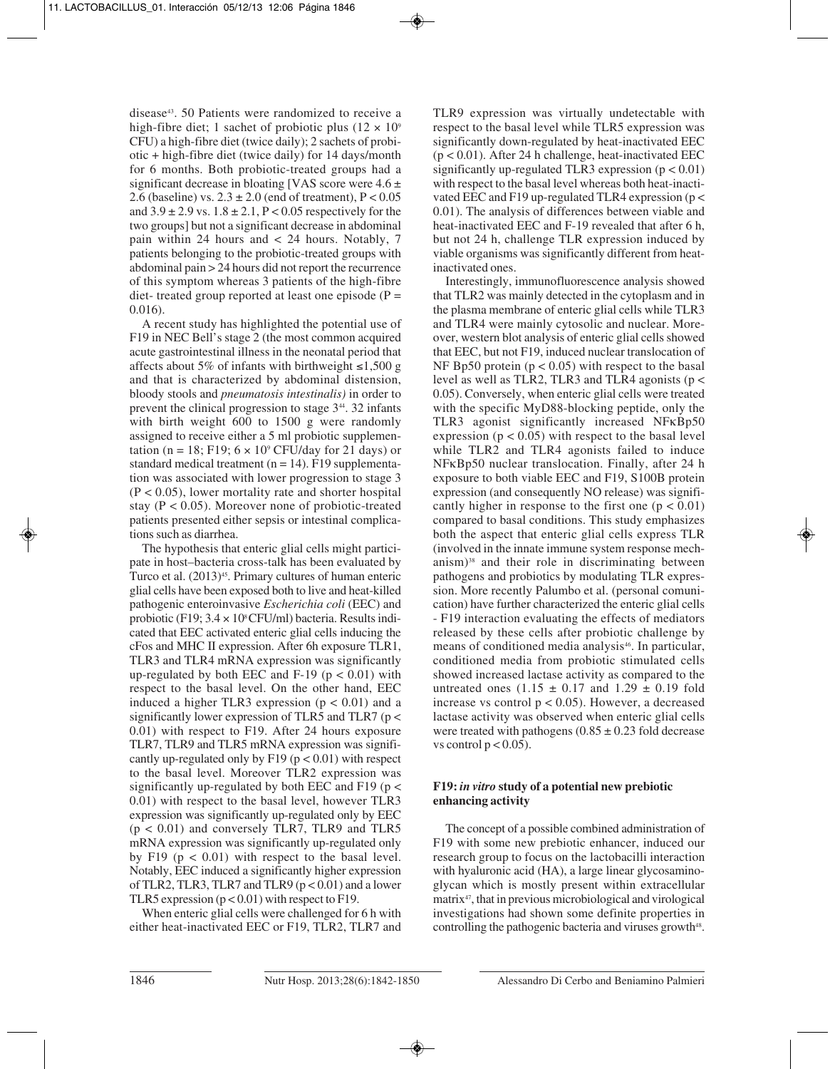disease43. 50 Patients were randomized to receive a high-fibre diet; 1 sachet of probiotic plus ( $12 \times 10^9$ ) CFU) a high-fibre diet (twice daily); 2 sachets of probiotic + high-fibre diet (twice daily) for 14 days/month for 6 months. Both probiotic-treated groups had a significant decrease in bloating [VAS score were  $4.6 \pm$ 2.6 (baseline) vs.  $2.3 \pm 2.0$  (end of treatment),  $P < 0.05$ and  $3.9 \pm 2.9$  vs.  $1.8 \pm 2.1$ , P < 0.05 respectively for the two groups] but not a significant decrease in abdominal pain within 24 hours and < 24 hours. Notably, 7 patients belonging to the probiotic-treated groups with abdominal pain > 24 hours did not report the recurrence of this symptom whereas 3 patients of the high-fibre diet- treated group reported at least one episode ( $P =$ 0.016).

A recent study has highlighted the potential use of F19 in NEC Bell's stage 2 (the most common acquired acute gastrointestinal illness in the neonatal period that affects about 5% of infants with birthweight ≤1,500 g and that is characterized by abdominal distension, bloody stools and *pneumatosis intestinalis)* in order to prevent the clinical progression to stage 344. 32 infants with birth weight 600 to 1500 g were randomly assigned to receive either a 5 ml probiotic supplementation (n = 18; F19;  $6 \times 10^9$  CFU/day for 21 days) or standard medical treatment  $(n = 14)$ . F19 supplementation was associated with lower progression to stage 3  $(P < 0.05)$ , lower mortality rate and shorter hospital stay ( $P < 0.05$ ). Moreover none of probiotic-treated patients presented either sepsis or intestinal complications such as diarrhea.

The hypothesis that enteric glial cells might participate in host–bacteria cross-talk has been evaluated by Turco et al.  $(2013)^{45}$ . Primary cultures of human enteric glial cells have been exposed both to live and heat-killed pathogenic enteroinvasive *Escherichia coli* (EEC) and probiotic (F19;  $3.4 \times 10^8$  CFU/ml) bacteria. Results indicated that EEC activated enteric glial cells inducing the cFos and MHC II expression. After 6h exposure TLR1, TLR3 and TLR4 mRNA expression was significantly up-regulated by both EEC and F-19 ( $p < 0.01$ ) with respect to the basal level. On the other hand, EEC induced a higher TLR3 expression  $(p < 0.01)$  and a significantly lower expression of TLR5 and TLR7 ( $p <$ 0.01) with respect to F19. After 24 hours exposure TLR7, TLR9 and TLR5 mRNA expression was significantly up-regulated only by  $F19$  ( $p < 0.01$ ) with respect to the basal level. Moreover TLR2 expression was significantly up-regulated by both EEC and F19 ( $p <$ 0.01) with respect to the basal level, however TLR3 expression was significantly up-regulated only by EEC (p < 0.01) and conversely TLR7, TLR9 and TLR5 mRNA expression was significantly up-regulated only by F19 ( $p < 0.01$ ) with respect to the basal level. Notably, EEC induced a significantly higher expression of TLR2, TLR3, TLR7 and TLR9 ( $p < 0.01$ ) and a lower TLR5 expression  $(p < 0.01)$  with respect to F19.

When enteric glial cells were challenged for 6 h with either heat-inactivated EEC or F19, TLR2, TLR7 and TLR9 expression was virtually undetectable with respect to the basal level while TLR5 expression was significantly down-regulated by heat-inactivated EEC  $(p < 0.01)$ . After 24 h challenge, heat-inactivated EEC significantly up-regulated TLR3 expression  $(p < 0.01)$ with respect to the basal level whereas both heat-inactivated EEC and F19 up-regulated TLR4 expression ( $p <$ 0.01). The analysis of differences between viable and heat-inactivated EEC and F-19 revealed that after 6 h, but not 24 h, challenge TLR expression induced by viable organisms was significantly different from heatinactivated ones.

Interestingly, immunofluorescence analysis showed that TLR2 was mainly detected in the cytoplasm and in the plasma membrane of enteric glial cells while TLR3 and TLR4 were mainly cytosolic and nuclear. Moreover, western blot analysis of enteric glial cells showed that EEC, but not F19, induced nuclear translocation of NF Bp50 protein  $(p < 0.05)$  with respect to the basal level as well as TLR2, TLR3 and TLR4 agonists (p < 0.05). Conversely, when enteric glial cells were treated with the specific MyD88-blocking peptide, only the TLR3 agonist significantly increased NFκBp50 expression  $(p < 0.05)$  with respect to the basal level while TLR2 and TLR4 agonists failed to induce NFκBp50 nuclear translocation. Finally, after 24 h exposure to both viable EEC and F19, S100B protein expression (and consequently NO release) was significantly higher in response to the first one  $(p < 0.01)$ compared to basal conditions. This study emphasizes both the aspect that enteric glial cells express TLR (involved in the innate immune system response mechanism)38 and their role in discriminating between pathogens and probiotics by modulating TLR expression. More recently Palumbo et al. (personal comunication) have further characterized the enteric glial cells - F19 interaction evaluating the effects of mediators released by these cells after probiotic challenge by means of conditioned media analysis<sup>46</sup>. In particular, conditioned media from probiotic stimulated cells showed increased lactase activity as compared to the untreated ones  $(1.15 \pm 0.17$  and  $1.29 \pm 0.19$  fold increase vs control  $p < 0.05$ ). However, a decreased lactase activity was observed when enteric glial cells were treated with pathogens  $(0.85 \pm 0.23$  fold decrease vs control  $p < 0.05$ ).

# **F19:** *in vitro* **study of a potential new prebiotic enhancing activity**

The concept of a possible combined administration of F19 with some new prebiotic enhancer, induced our research group to focus on the lactobacilli interaction with hyaluronic acid (HA), a large linear glycosaminoglycan which is mostly present within extracellular matrix47, that in previous microbiological and virological investigations had shown some definite properties in controlling the pathogenic bacteria and viruses growth<sup>48</sup>.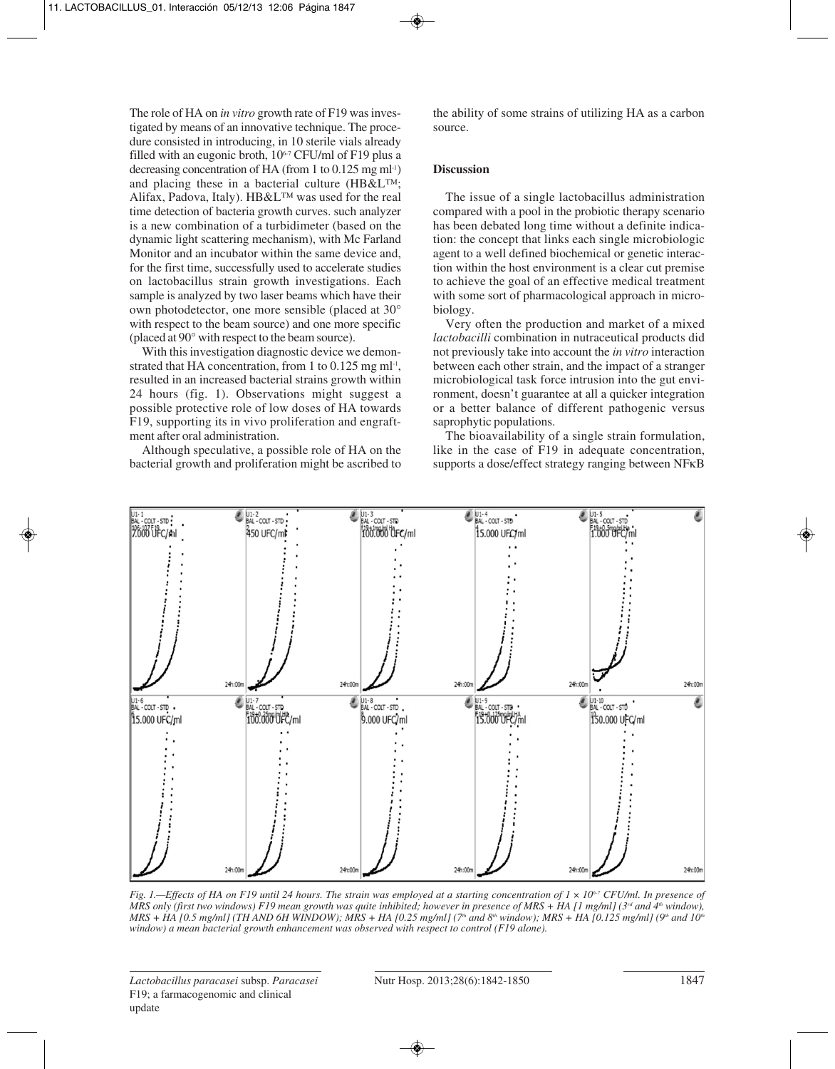The role of HA on *in vitro* growth rate of F19 was investigated by means of an innovative technique. The procedure consisted in introducing, in 10 sterile vials already filled with an eugonic broth,  $10<sup>6-7</sup>$  CFU/ml of F19 plus a decreasing concentration of HA (from 1 to 0.125 mg ml<sup>-1)</sup> and placing these in a bacterial culture (HB&L™; Alifax, Padova, Italy). HB&L™ was used for the real time detection of bacteria growth curves. such analyzer is a new combination of a turbidimeter (based on the dynamic light scattering mechanism), with Mc Farland Monitor and an incubator within the same device and, for the first time, successfully used to accelerate studies on lactobacillus strain growth investigations. Each sample is analyzed by two laser beams which have their own photodetector, one more sensible (placed at 30° with respect to the beam source) and one more specific (placed at 90° with respect to the beam source).

With this investigation diagnostic device we demonstrated that HA concentration, from 1 to  $0.125$  mg ml<sup>-1</sup>, resulted in an increased bacterial strains growth within 24 hours (fig. 1). Observations might suggest a possible protective role of low doses of HA towards F19, supporting its in vivo proliferation and engraftment after oral administration.

Although speculative, a possible role of HA on the bacterial growth and proliferation might be ascribed to

the ability of some strains of utilizing HA as a carbon source.

## **Discussion**

The issue of a single lactobacillus administration compared with a pool in the probiotic therapy scenario has been debated long time without a definite indication: the concept that links each single microbiologic agent to a well defined biochemical or genetic interaction within the host environment is a clear cut premise to achieve the goal of an effective medical treatment with some sort of pharmacological approach in microbiology.

Very often the production and market of a mixed *lactobacilli* combination in nutraceutical products did not previously take into account the *in vitro* interaction between each other strain, and the impact of a stranger microbiological task force intrusion into the gut environment, doesn't guarantee at all a quicker integration or a better balance of different pathogenic versus saprophytic populations.

The bioavailability of a single strain formulation, like in the case of F19 in adequate concentration, supports a dose/effect strategy ranging between NFκB



*Fig. 1.—Effects of HA on F19 until 24 hours. The strain was employed at a starting concentration of 1 × 10<sup>6-7</sup> CFU/ml. In presence of MRS only (first two windows) F19 mean growth was quite inhibited; however in presence of MRS + HA [1 mg/ml] (3<sup>rd</sup> and 4<sup>th</sup> window), MRS + HA [0.5 mg/ml] (TH AND 6H WINDOW); MRS + HA [0.25 mg/ml] (7th and 8th window); MRS + HA [0.125 mg/ml] (9th and 10th window) a mean bacterial growth enhancement was observed with respect to control (F19 alone).*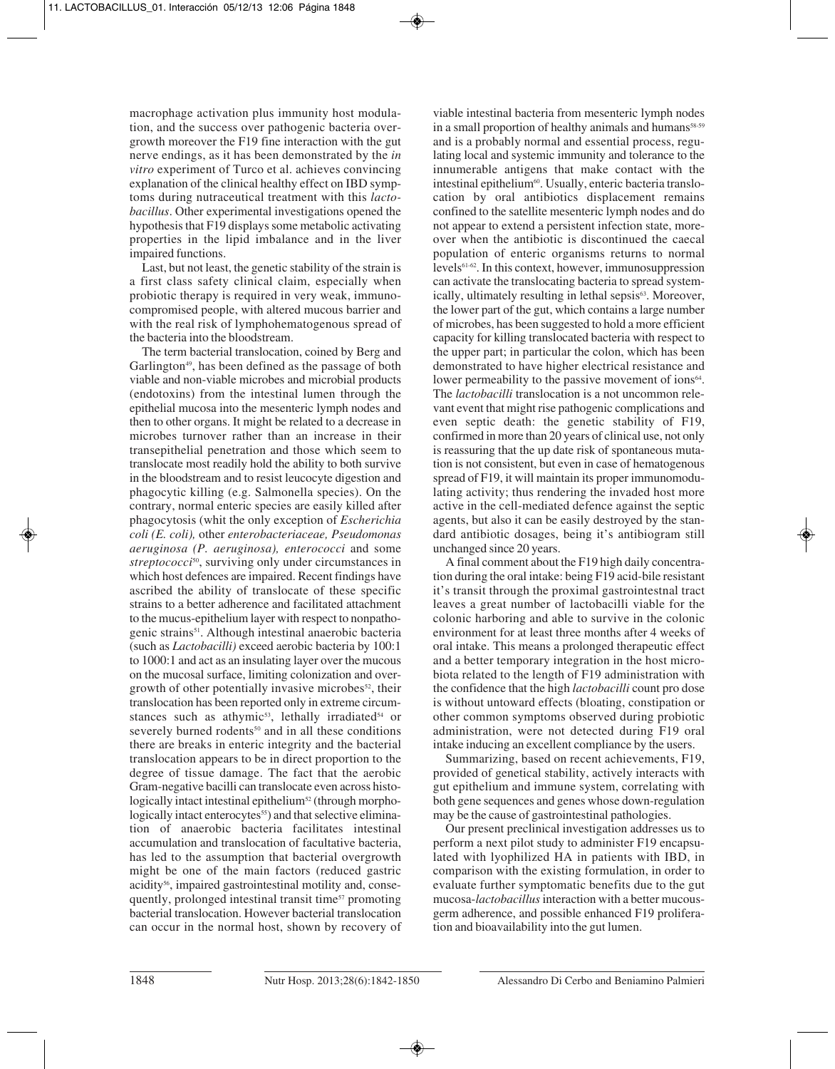macrophage activation plus immunity host modulation, and the success over pathogenic bacteria overgrowth moreover the F19 fine interaction with the gut nerve endings, as it has been demonstrated by the *in vitro* experiment of Turco et al. achieves convincing explanation of the clinical healthy effect on IBD symptoms during nutraceutical treatment with this *lactobacillus*. Other experimental investigations opened the hypothesis that F19 displays some metabolic activating properties in the lipid imbalance and in the liver impaired functions.

Last, but not least, the genetic stability of the strain is a first class safety clinical claim, especially when probiotic therapy is required in very weak, immunocompromised people, with altered mucous barrier and with the real risk of lymphohematogenous spread of the bacteria into the bloodstream.

The term bacterial translocation, coined by Berg and Garlington<sup>49</sup>, has been defined as the passage of both viable and non-viable microbes and microbial products (endotoxins) from the intestinal lumen through the epithelial mucosa into the mesenteric lymph nodes and then to other organs. It might be related to a decrease in microbes turnover rather than an increase in their transepithelial penetration and those which seem to translocate most readily hold the ability to both survive in the bloodstream and to resist leucocyte digestion and phagocytic killing (e.g. Salmonella species). On the contrary, normal enteric species are easily killed after phagocytosis (whit the only exception of *Escherichia coli (E. coli),* other *enterobacteriaceae, Pseudomonas aeruginosa (P. aeruginosa), enterococci* and some *streptococci*50, surviving only under circumstances in which host defences are impaired. Recent findings have ascribed the ability of translocate of these specific strains to a better adherence and facilitated attachment to the mucus-epithelium layer with respect to nonpathogenic strains<sup>51</sup>. Although intestinal anaerobic bacteria (such as *Lactobacilli)* exceed aerobic bacteria by 100:1 to 1000:1 and act as an insulating layer over the mucous on the mucosal surface, limiting colonization and overgrowth of other potentially invasive microbes<sup>52</sup>, their translocation has been reported only in extreme circumstances such as athymic<sup>53</sup>, lethally irradiated<sup>54</sup> or severely burned rodents<sup>50</sup> and in all these conditions there are breaks in enteric integrity and the bacterial translocation appears to be in direct proportion to the degree of tissue damage. The fact that the aerobic Gram-negative bacilli can translocate even across histologically intact intestinal epithelium<sup>52</sup> (through morphologically intact enterocytes<sup>55</sup>) and that selective elimination of anaerobic bacteria facilitates intestinal accumulation and translocation of facultative bacteria, has led to the assumption that bacterial overgrowth might be one of the main factors (reduced gastric acidity<sup>56</sup>, impaired gastrointestinal motility and, consequently, prolonged intestinal transit time<sup>57</sup> promoting bacterial translocation. However bacterial translocation can occur in the normal host, shown by recovery of

viable intestinal bacteria from mesenteric lymph nodes in a small proportion of healthy animals and humans<sup>58-59</sup> and is a probably normal and essential process, regulating local and systemic immunity and tolerance to the innumerable antigens that make contact with the intestinal epithelium<sup>60</sup>. Usually, enteric bacteria translocation by oral antibiotics displacement remains confined to the satellite mesenteric lymph nodes and do not appear to extend a persistent infection state, moreover when the antibiotic is discontinued the caecal population of enteric organisms returns to normal levels61-62. In this context, however, immunosuppression can activate the translocating bacteria to spread systemically, ultimately resulting in lethal sepsis<sup>63</sup>. Moreover, the lower part of the gut, which contains a large number of microbes, has been suggested to hold a more efficient capacity for killing translocated bacteria with respect to the upper part; in particular the colon, which has been demonstrated to have higher electrical resistance and lower permeability to the passive movement of ions<sup>64</sup>. The *lactobacilli* translocation is a not uncommon relevant event that might rise pathogenic complications and even septic death: the genetic stability of F19, confirmed in more than 20 years of clinical use, not only is reassuring that the up date risk of spontaneous mutation is not consistent, but even in case of hematogenous spread of F19, it will maintain its proper immunomodulating activity; thus rendering the invaded host more active in the cell-mediated defence against the septic agents, but also it can be easily destroyed by the standard antibiotic dosages, being it's antibiogram still unchanged since 20 years.

A final comment about the F19 high daily concentration during the oral intake: being F19 acid-bile resistant it's transit through the proximal gastrointestnal tract leaves a great number of lactobacilli viable for the colonic harboring and able to survive in the colonic environment for at least three months after 4 weeks of oral intake. This means a prolonged therapeutic effect and a better temporary integration in the host microbiota related to the length of F19 administration with the confidence that the high *lactobacilli* count pro dose is without untoward effects (bloating, constipation or other common symptoms observed during probiotic administration, were not detected during F19 oral intake inducing an excellent compliance by the users.

Summarizing, based on recent achievements, F19, provided of genetical stability, actively interacts with gut epithelium and immune system, correlating with both gene sequences and genes whose down-regulation may be the cause of gastrointestinal pathologies.

Our present preclinical investigation addresses us to perform a next pilot study to administer F19 encapsulated with lyophilized HA in patients with IBD, in comparison with the existing formulation, in order to evaluate further symptomatic benefits due to the gut mucosa-*lactobacillus*interaction with a better mucousgerm adherence, and possible enhanced F19 proliferation and bioavailability into the gut lumen.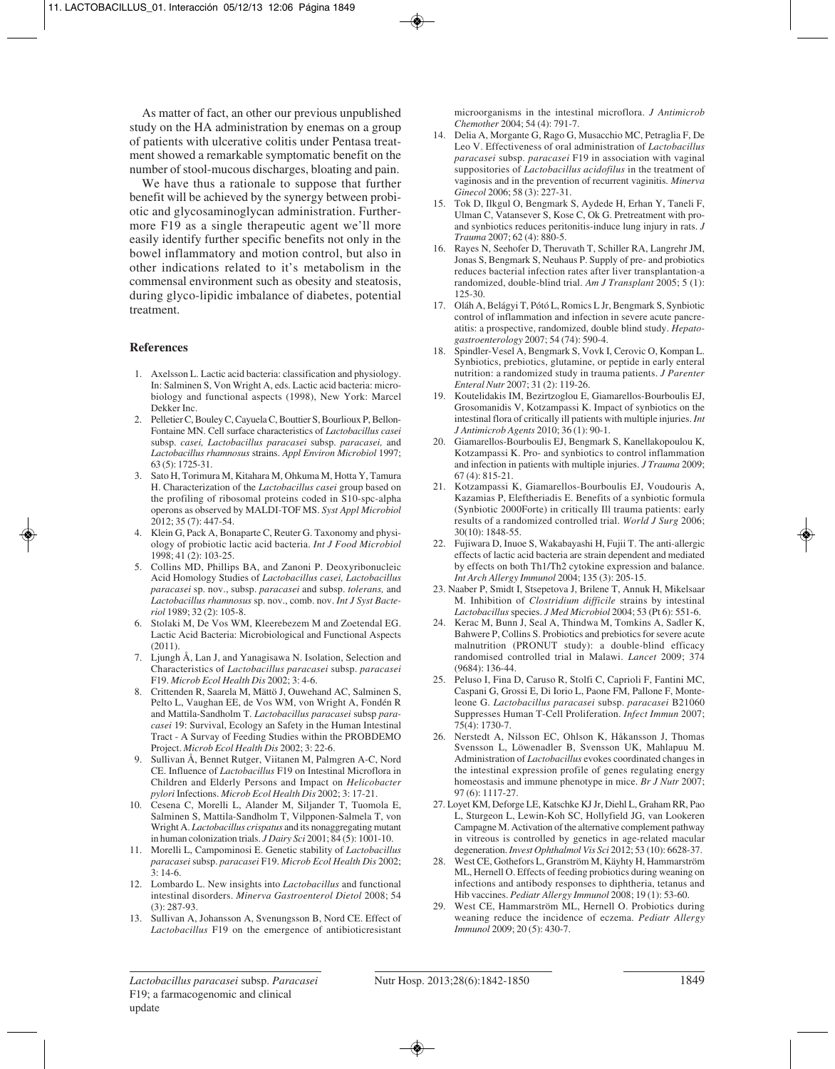As matter of fact, an other our previous unpublished study on the HA administration by enemas on a group of patients with ulcerative colitis under Pentasa treatment showed a remarkable symptomatic benefit on the number of stool-mucous discharges, bloating and pain.

We have thus a rationale to suppose that further benefit will be achieved by the synergy between probiotic and glycosaminoglycan administration. Furthermore F19 as a single therapeutic agent we'll more easily identify further specific benefits not only in the bowel inflammatory and motion control, but also in other indications related to it's metabolism in the commensal environment such as obesity and steatosis, during glyco-lipidic imbalance of diabetes, potential treatment.

### **References**

- 1. Axelsson L. Lactic acid bacteria: classification and physiology. In: Salminen S, Von Wright A, eds. Lactic acid bacteria: microbiology and functional aspects (1998), New York: Marcel Dekker Inc.
- 2. Pelletier C, Bouley C, Cayuela C, Bouttier S, Bourlioux P, Bellon-Fontaine MN. Cell surface characteristics of *Lactobacillus casei* subsp. *casei, Lactobacillus paracasei* subsp. *paracasei,* and *Lactobacillus rhamnosus* strains. *Appl Environ Microbiol* 1997; 63 (5): 1725-31.
- 3. Sato H, Torimura M, Kitahara M, Ohkuma M, Hotta Y, Tamura H. Characterization of the *Lactobacillus casei* group based on the profiling of ribosomal proteins coded in S10-spc-alpha operons as observed by MALDI-TOF MS. *Syst Appl Microbiol* 2012; 35 (7): 447-54.
- 4. Klein G, Pack A, Bonaparte C, Reuter G. Taxonomy and physiology of probiotic lactic acid bacteria. *Int J Food Microbiol* 1998; 41 (2): 103-25.
- 5. Collins MD, Phillips BA, and Zanoni P. Deoxyribonucleic Acid Homology Studies of *Lactobacillus casei, Lactobacillus paracasei* sp. nov., subsp. *paracasei* and subsp. *tolerans,* and *Lactobacillus rhamnosus* sp. nov., comb. nov. *Int J Syst Bacteriol* 1989; 32 (2): 105-8.
- 6. Stolaki M, De Vos WM, Kleerebezem M and Zoetendal EG. Lactic Acid Bacteria: Microbiological and Functional Aspects (2011).
- 7. Ljungh Å, Lan J, and Yanagisawa N. Isolation, Selection and Characteristics of *Lactobacillus paracasei* subsp. *paracasei* F19. *Microb Ecol Health Dis* 2002; 3: 4-6.
- 8. Crittenden R, Saarela M, Mättö J, Ouwehand AC, Salminen S, Pelto L, Vaughan EE, de Vos WM, von Wright A, Fondén R and Mattila-Sandholm T. *Lactobacillus paracasei* subsp *paracasei* 19: Survival, Ecology an Safety in the Human Intestinal Tract - A Survay of Feeding Studies within the PROBDEMO Project. *Microb Ecol Health Dis* 2002; 3: 22-6.
- 9. Sullivan Å, Bennet Rutger, Viitanen M, Palmgren A-C, Nord CE. Influence of *Lactobacillus* F19 on Intestinal Microflora in Children and Elderly Persons and Impact on *Helicobacter pylori* Infections. *Microb Ecol Health Dis* 2002; 3: 17-21.
- 10. Cesena C, Morelli L, Alander M, Siljander T, Tuomola E, Salminen S, Mattila-Sandholm T, Vilpponen-Salmela T, von Wright A. *Lactobacillus crispatus* and its nonaggregating mutant in human colonization trials. *J Dairy Sci* 2001; 84 (5): 1001-10.
- 11. Morelli L, Campominosi E. Genetic stability of *Lactobacillus paracasei* subsp. *paracasei* F19. *Microb Ecol Health Dis* 2002; 3: 14-6.
- 12. Lombardo L. New insights into *Lactobacillus* and functional intestinal disorders. *Minerva Gastroenterol Dietol* 2008; 54 (3): 287-93.
- 13. Sullivan A, Johansson A, Svenungsson B, Nord CE. Effect of *Lactobacillus* F19 on the emergence of antibioticresistant

microorganisms in the intestinal microflora. *J Antimicrob Chemother* 2004; 54 (4): 791-7.

- 14. Delia A, Morgante G, Rago G, Musacchio MC, Petraglia F, De Leo V. Effectiveness of oral administration of *Lactobacillus paracasei* subsp. *paracasei* F19 in association with vaginal suppositories of *Lactobacillus acidofilus* in the treatment of vaginosis and in the prevention of recurrent vaginitis. *Minerva Ginecol* 2006; 58 (3): 227-31.
- 15. Tok D, Ilkgul O, Bengmark S, Aydede H, Erhan Y, Taneli F, Ulman C, Vatansever S, Kose C, Ok G. Pretreatment with proand synbiotics reduces peritonitis-induce lung injury in rats. *J Trauma* 2007; 62 (4): 880-5.
- 16. Rayes N, Seehofer D, Theruvath T, Schiller RA, Langrehr JM, Jonas S, Bengmark S, Neuhaus P. Supply of pre- and probiotics reduces bacterial infection rates after liver transplantation-a randomized, double-blind trial. *Am J Transplant* 2005; 5 (1): 125-30.
- 17. Oláh A, Belágyi T, Pótó L, Romics L Jr, Bengmark S, Synbiotic control of inflammation and infection in severe acute pancreatitis: a prospective, randomized, double blind study. *Hepatogastroenterology* 2007; 54 (74): 590-4.
- 18. Spindler-Vesel A, Bengmark S, Vovk I, Cerovic O, Kompan L. Synbiotics, prebiotics, glutamine, or peptide in early enteral nutrition: a randomized study in trauma patients. *J Parenter Enteral Nutr* 2007; 31 (2): 119-26.
- 19. Koutelidakis IM, Bezirtzoglou E, Giamarellos-Bourboulis EJ, Grosomanidis V, Kotzampassi K. Impact of synbiotics on the intestinal flora of critically ill patients with multiple injuries. *Int J Antimicrob Agents* 2010; 36 (1): 90-1.
- 20. Giamarellos-Bourboulis EJ, Bengmark S, Kanellakopoulou K, Kotzampassi K. Pro- and synbiotics to control inflammation and infection in patients with multiple injuries. *J Trauma* 2009; 67 (4): 815-21.
- 21. Kotzampassi K, Giamarellos-Bourboulis EJ, Voudouris A, Kazamias P, Eleftheriadis E. Benefits of a synbiotic formula (Synbiotic 2000Forte) in critically Ill trauma patients: early results of a randomized controlled trial. *World J Surg* 2006; 30(10): 1848-55.
- 22. Fujiwara D, Inuoe S, Wakabayashi H, Fujii T. The anti-allergic effects of lactic acid bacteria are strain dependent and mediated by effects on both Th1/Th2 cytokine expression and balance. *Int Arch Allergy Immunol* 2004; 135 (3): 205-15.
- 23. Naaber P, Smidt I, Stsepetova J, Brilene T, Annuk H, Mikelsaar M. Inhibition of *Clostridium difficile* strains by intestinal *Lactobacillus*species. *J Med Microbiol* 2004; 53 (Pt 6): 551-6.
- 24. Kerac M, Bunn J, Seal A, Thindwa M, Tomkins A, Sadler K, Bahwere P, Collins S. Probiotics and prebiotics for severe acute malnutrition (PRONUT study): a double-blind efficacy randomised controlled trial in Malawi. *Lancet* 2009; 374 (9684): 136-44.
- 25. Peluso I, Fina D, Caruso R, Stolfi C, Caprioli F, Fantini MC, Caspani G, Grossi E, Di Iorio L, Paone FM, Pallone F, Monteleone G. *Lactobacillus paracasei* subsp. *paracasei* B21060 Suppresses Human T-Cell Proliferation. *Infect Immun* 2007; 75(4): 1730-7.
- 26. Nerstedt A, Nilsson EC, Ohlson K, Håkansson J, Thomas Svensson L, Löwenadler B, Svensson UK, Mahlapuu M. Administration of *Lactobacillus* evokes coordinated changes in the intestinal expression profile of genes regulating energy homeostasis and immune phenotype in mice. *Br J Nutr* 2007; 97 (6): 1117-27.
- 27. Loyet KM, Deforge LE, Katschke KJ Jr, Diehl L, Graham RR, Pao L, Sturgeon L, Lewin-Koh SC, Hollyfield JG, van Lookeren Campagne M. Activation of the alternative complement pathway in vitreous is controlled by genetics in age-related macular degeneration. *Invest Ophthalmol Vis Sci* 2012; 53 (10): 6628-37.
- 28. West CE, Gothefors L, Granström M, Käyhty H, Hammarström ML, Hernell O. Effects of feeding probiotics during weaning on infections and antibody responses to diphtheria, tetanus and Hib vaccines. *Pediatr Allergy Immunol* 2008; 19 (1): 53-60.
- 29. West CE, Hammarström ML, Hernell O. Probiotics during weaning reduce the incidence of eczema. *Pediatr Allergy Immunol* 2009; 20 (5): 430-7.